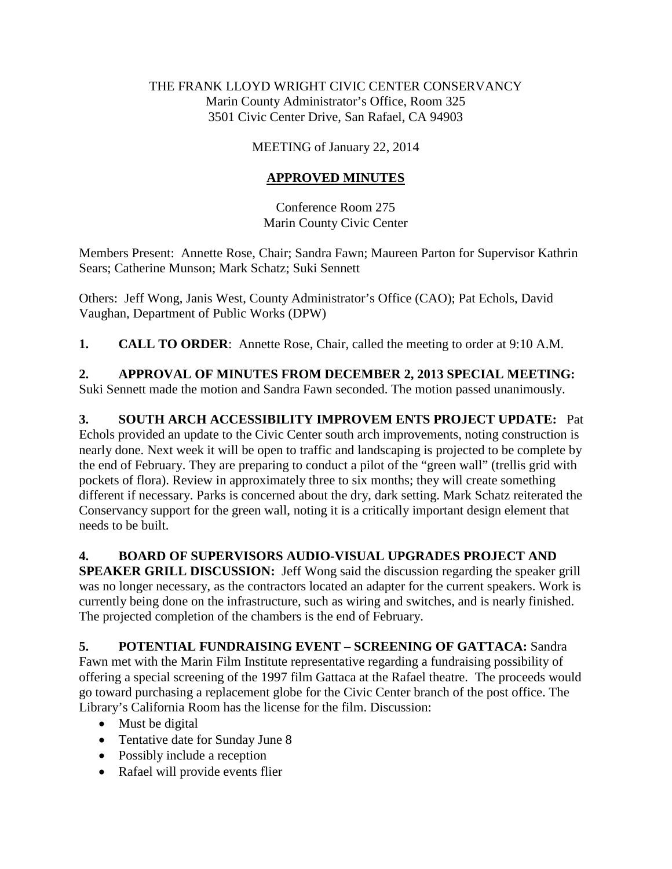#### THE FRANK LLOYD WRIGHT CIVIC CENTER CONSERVANCY Marin County Administrator's Office, Room 325 3501 Civic Center Drive, San Rafael, CA 94903

### MEETING of January 22, 2014

## **APPROVED MINUTES**

Conference Room 275 Marin County Civic Center

Members Present: Annette Rose, Chair; Sandra Fawn; Maureen Parton for Supervisor Kathrin Sears; Catherine Munson; Mark Schatz; Suki Sennett

Others: Jeff Wong, Janis West, County Administrator's Office (CAO); Pat Echols, David Vaughan, Department of Public Works (DPW)

**1. CALL TO ORDER**: Annette Rose, Chair, called the meeting to order at 9:10 A.M.

**2. APPROVAL OF MINUTES FROM DECEMBER 2, 2013 SPECIAL MEETING:**  Suki Sennett made the motion and Sandra Fawn seconded. The motion passed unanimously.

**3. SOUTH ARCH ACCESSIBILITY IMPROVEM ENTS PROJECT UPDATE:** Pat Echols provided an update to the Civic Center south arch improvements, noting construction is nearly done. Next week it will be open to traffic and landscaping is projected to be complete by the end of February. They are preparing to conduct a pilot of the "green wall" (trellis grid with pockets of flora). Review in approximately three to six months; they will create something different if necessary. Parks is concerned about the dry, dark setting. Mark Schatz reiterated the Conservancy support for the green wall, noting it is a critically important design element that needs to be built.

# **4. BOARD OF SUPERVISORS AUDIO-VISUAL UPGRADES PROJECT AND**

**SPEAKER GRILL DISCUSSION:** Jeff Wong said the discussion regarding the speaker grill was no longer necessary, as the contractors located an adapter for the current speakers. Work is currently being done on the infrastructure, such as wiring and switches, and is nearly finished. The projected completion of the chambers is the end of February.

# **5. POTENTIAL FUNDRAISING EVENT – SCREENING OF GATTACA:** Sandra

Fawn met with the Marin Film Institute representative regarding a fundraising possibility of offering a special screening of the 1997 film Gattaca at the Rafael theatre. The proceeds would go toward purchasing a replacement globe for the Civic Center branch of the post office. The Library's California Room has the license for the film. Discussion:

- Must be digital
- Tentative date for Sunday June 8
- Possibly include a reception
- Rafael will provide events flier